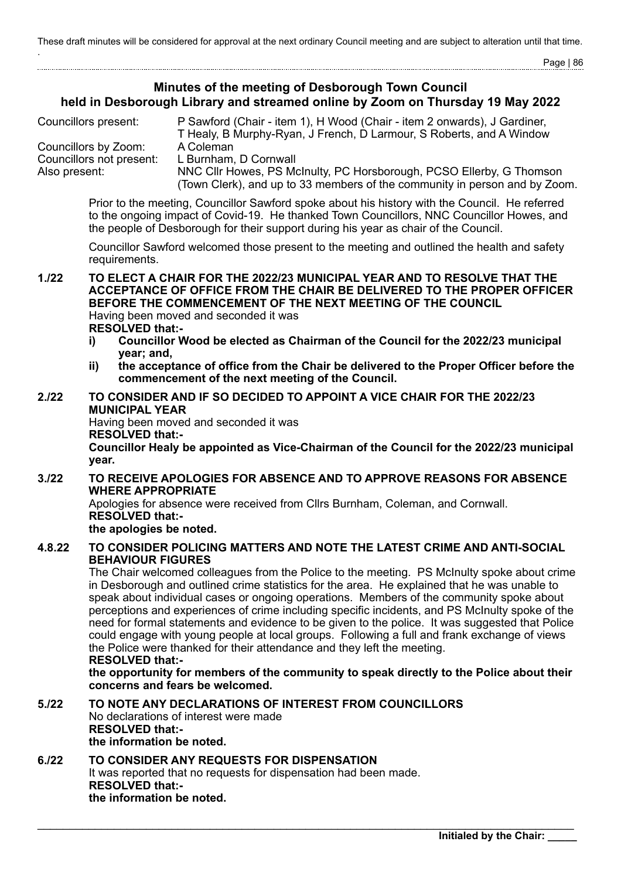Page | 86

# **Minutes of the meeting of Desborough Town Council held in Desborough Library and streamed online by Zoom on Thursday 19 May 2022**

| Councillors present:     | P Sawford (Chair - item 1), H Wood (Chair - item 2 onwards), J Gardiner,   |  |  |
|--------------------------|----------------------------------------------------------------------------|--|--|
|                          | T Healy, B Murphy-Ryan, J French, D Larmour, S Roberts, and A Window       |  |  |
| Councillors by Zoom:     | A Coleman                                                                  |  |  |
| Councillors not present: | L Burnham, D Cornwall                                                      |  |  |
| Also present:            | NNC Cllr Howes, PS McInulty, PC Horsborough, PCSO Ellerby, G Thomson       |  |  |
|                          | (Town Clerk), and up to 33 members of the community in person and by Zoom. |  |  |

Prior to the meeting, Councillor Sawford spoke about his history with the Council. He referred to the ongoing impact of Covid-19. He thanked Town Councillors, NNC Councillor Howes, and the people of Desborough for their support during his year as chair of the Council.

Councillor Sawford welcomed those present to the meeting and outlined the health and safety requirements.

**1./22 TO ELECT A CHAIR FOR THE 2022/23 MUNICIPAL YEAR AND TO RESOLVE THAT THE ACCEPTANCE OF OFFICE FROM THE CHAIR BE DELIVERED TO THE PROPER OFFICER BEFORE THE COMMENCEMENT OF THE NEXT MEETING OF THE COUNCIL** Having been moved and seconded it was **RESOLVED that:-**

- **i) Councillor Wood be elected as Chairman of the Council for the 2022/23 municipal year; and,**
- **ii) the acceptance of office from the Chair be delivered to the Proper Officer before the commencement of the next meeting of the Council.**

# **2./22 TO CONSIDER AND IF SO DECIDED TO APPOINT A VICE CHAIR FOR THE 2022/23 MUNICIPAL YEAR**

Having been moved and seconded it was **RESOLVED that:-**

**Councillor Healy be appointed as Vice-Chairman of the Council for the 2022/23 municipal year.**

#### **3./22 TO RECEIVE APOLOGIES FOR ABSENCE AND TO APPROVE REASONS FOR ABSENCE WHERE APPROPRIATE**

Apologies for absence were received from Cllrs Burnham, Coleman, and Cornwall. **RESOLVED that:-**

**the apologies be noted.**

# **4.8.22 TO CONSIDER POLICING MATTERS AND NOTE THE LATEST CRIME AND ANTI-SOCIAL BEHAVIOUR FIGURES**

The Chair welcomed colleagues from the Police to the meeting. PS McInulty spoke about crime in Desborough and outlined crime statistics for the area. He explained that he was unable to speak about individual cases or ongoing operations. Members of the community spoke about perceptions and experiences of crime including specific incidents, and PS McInulty spoke of the need for formal statements and evidence to be given to the police. It was suggested that Police could engage with young people at local groups. Following a full and frank exchange of views the Police were thanked for their attendance and they left the meeting.

#### **RESOLVED that:-**

**the opportunity for members of the community to speak directly to the Police about their concerns and fears be welcomed.**

#### **5./22 TO NOTE ANY DECLARATIONS OF INTEREST FROM COUNCILLORS** No declarations of interest were made **RESOLVED that: the information be noted.**

#### **6./22 TO CONSIDER ANY REQUESTS FOR DISPENSATION** It was reported that no requests for dispensation had been made. **RESOLVED that: the information be noted.**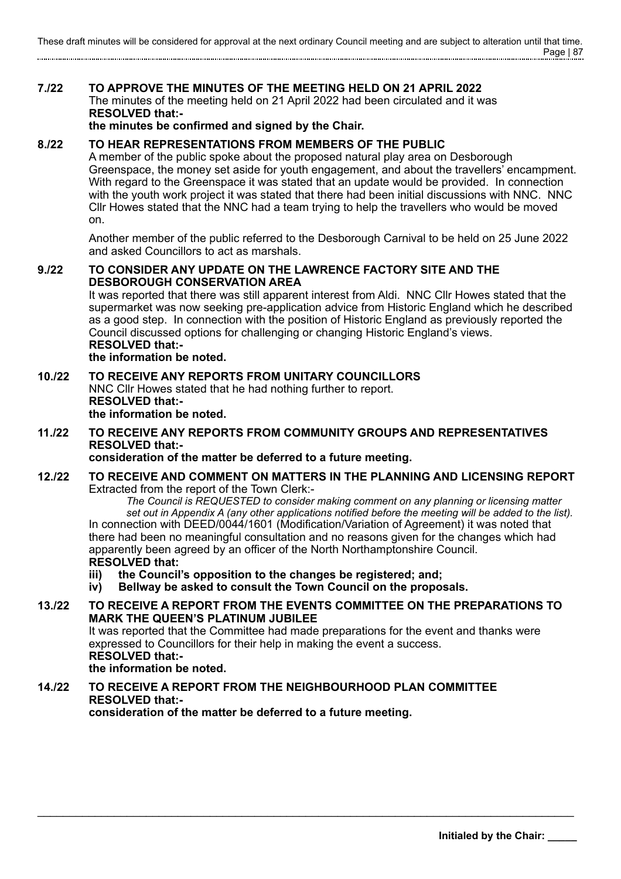# **7./22 TO APPROVE THE MINUTES OF THE MEETING HELD ON 21 APRIL 2022** The minutes of the meeting held on 21 April 2022 had been circulated and it was **RESOLVED that:-**

**the minutes be confirmed and signed by the Chair.**

# **8./22 TO HEAR REPRESENTATIONS FROM MEMBERS OF THE PUBLIC**

A member of the public spoke about the proposed natural play area on Desborough Greenspace, the money set aside for youth engagement, and about the travellers' encampment. With regard to the Greenspace it was stated that an update would be provided. In connection with the youth work project it was stated that there had been initial discussions with NNC. NNC Cllr Howes stated that the NNC had a team trying to help the travellers who would be moved on.

Another member of the public referred to the Desborough Carnival to be held on 25 June 2022 and asked Councillors to act as marshals.

### **9./22 TO CONSIDER ANY UPDATE ON THE LAWRENCE FACTORY SITE AND THE DESBOROUGH CONSERVATION AREA**

It was reported that there was still apparent interest from Aldi. NNC Cllr Howes stated that the supermarket was now seeking pre-application advice from Historic England which he described as a good step. In connection with the position of Historic England as previously reported the Council discussed options for challenging or changing Historic England's views. **RESOLVED that:-**

#### **the information be noted.**

#### **10./22 TO RECEIVE ANY REPORTS FROM UNITARY COUNCILLORS** NNC Cllr Howes stated that he had nothing further to report. **RESOLVED that: the information be noted.**

# **11./22 TO RECEIVE ANY REPORTS FROM COMMUNITY GROUPS AND REPRESENTATIVES RESOLVED that:-**

**consideration of the matter be deferred to a future meeting.**

# **12./22 TO RECEIVE AND COMMENT ON MATTERS IN THE PLANNING AND LICENSING REPORT** Extracted from the report of the Town Clerk:-

*The Council is REQUESTED to consider making comment on any planning or licensing matter set out in Appendix A (any other applications notified before the meeting will be added to the list).* In connection with DEED/0044/1601 (Modification/Variation of Agreement) it was noted that there had been no meaningful consultation and no reasons given for the changes which had apparently been agreed by an officer of the North Northamptonshire Council. **RESOLVED that:**

- 
- **iii) the Council's opposition to the changes be registered; and; iv) Bellway be asked to consult the Town Council on the proposals.**

# **13./22 TO RECEIVE A REPORT FROM THE EVENTS COMMITTEE ON THE PREPARATIONS TO MARK THE QUEEN'S PLATINUM JUBILEE**

\_\_\_\_\_\_\_\_\_\_\_\_\_\_\_\_\_\_\_\_\_\_\_\_\_\_\_\_\_\_\_\_\_\_\_\_\_\_\_\_\_\_\_\_\_\_\_\_\_\_\_\_\_\_\_\_\_\_\_\_\_\_\_\_\_\_\_\_\_\_\_\_\_\_\_\_\_\_\_\_\_\_\_\_

It was reported that the Committee had made preparations for the event and thanks were expressed to Councillors for their help in making the event a success. **RESOLVED that:-**

#### **the information be noted.**

# **14./22 TO RECEIVE A REPORT FROM THE NEIGHBOURHOOD PLAN COMMITTEE RESOLVED that:-**

**consideration of the matter be deferred to a future meeting.**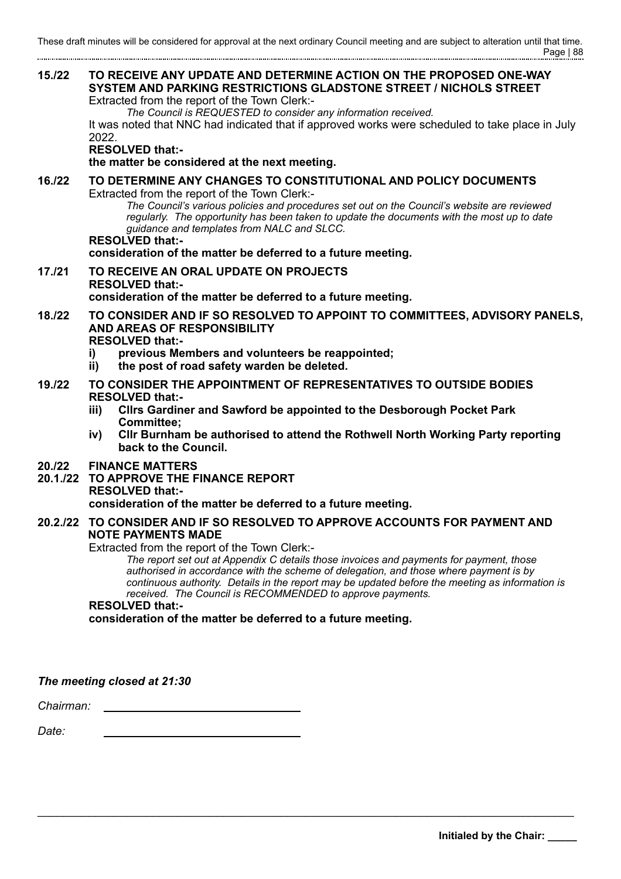# **15./22 TO RECEIVE ANY UPDATE AND DETERMINE ACTION ON THE PROPOSED ONE-WAY SYSTEM AND PARKING RESTRICTIONS GLADSTONE STREET / NICHOLS STREET** Extracted from the report of the Town Clerk:- *The Council is REQUESTED to consider any information received.* It was noted that NNC had indicated that if approved works were scheduled to take place in July 2022. **RESOLVED that: the matter be considered at the next meeting. 16./22 TO DETERMINE ANY CHANGES TO CONSTITUTIONAL AND POLICY DOCUMENTS** Extracted from the report of the Town Clerk:- *The Council's various policies and procedures set out on the Council's website are reviewed regularly. The opportunity has been taken to update the documents with the most up to date guidance and templates from NALC and SLCC.*  **RESOLVED that: consideration of the matter be deferred to a future meeting. 17./21 TO RECEIVE AN ORAL UPDATE ON PROJECTS RESOLVED that: consideration of the matter be deferred to a future meeting. 18./22 TO CONSIDER AND IF SO RESOLVED TO APPOINT TO COMMITTEES, ADVISORY PANELS, AND AREAS OF RESPONSIBILITY RESOLVED that: i) previous Members and volunteers be reappointed; ii) the post of road safety warden be deleted. 19./22 TO CONSIDER THE APPOINTMENT OF REPRESENTATIVES TO OUTSIDE BODIES RESOLVED that: iii) Cllrs Gardiner and Sawford be appointed to the Desborough Pocket Park Committee; iv) Cllr Burnham be authorised to attend the Rothwell North Working Party reporting back to the Council. 20./22 FINANCE MATTERS 20.1./22 TO APPROVE THE FINANCE REPORT RESOLVED that: consideration of the matter be deferred to a future meeting. 20.2./22 TO CONSIDER AND IF SO RESOLVED TO APPROVE ACCOUNTS FOR PAYMENT AND NOTE PAYMENTS MADE** Extracted from the report of the Town Clerk:- *The report set out at Appendix C details those invoices and payments for payment, those authorised in accordance with the scheme of delegation, and those where payment is by continuous authority. Details in the report may be updated before the meeting as information is*

*received. The Council is RECOMMENDED to approve payments.*

**RESOLVED that:-**

**consideration of the matter be deferred to a future meeting.**

\_\_\_\_\_\_\_\_\_\_\_\_\_\_\_\_\_\_\_\_\_\_\_\_\_\_\_\_\_\_\_\_\_\_\_\_\_\_\_\_\_\_\_\_\_\_\_\_\_\_\_\_\_\_\_\_\_\_\_\_\_\_\_\_\_\_\_\_\_\_\_\_\_\_\_\_\_\_\_\_\_\_\_\_

*The meeting closed at 21:30*

*Chairman:*

*Date:*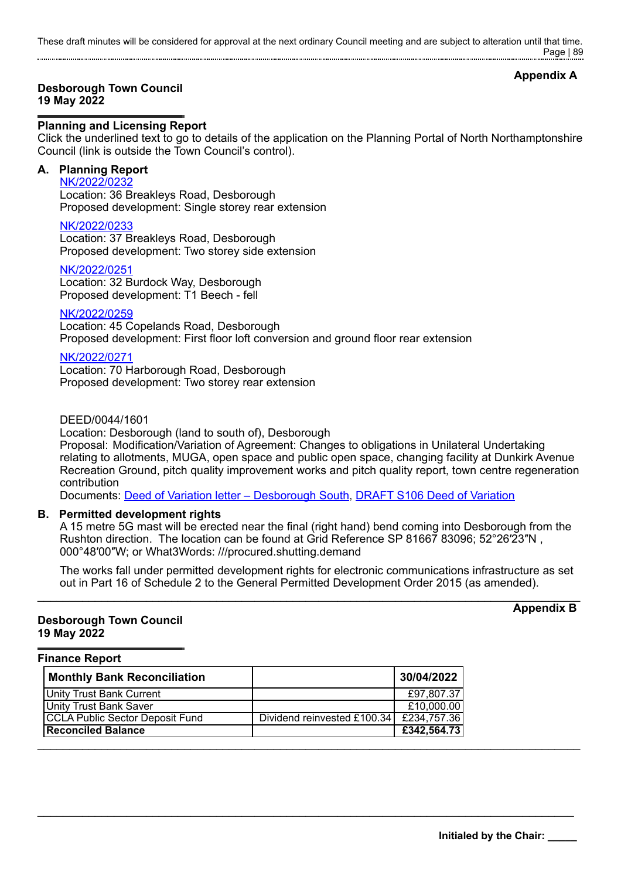These draft minutes will be considered for approval at the next ordinary Council meeting and are subject to alteration until that time. Page | 89

# **Appendix A**

#### **Desborough Town Council 19 May 2022**

## **Planning and Licensing Report**

Click the underlined text to go to details of the application on the Planning Portal of North Northamptonshire Council (link is outside the Town Council's control).

## **A. Planning Report**

[NK/2022/0232](https://www.kettering.gov.uk/planningApplication/131830)

Location: 36 Breakleys Road, Desborough Proposed development: Single storey rear extension

### [NK/2022/0233](https://www.kettering.gov.uk/planningApplication/131823)

Location: 37 Breakleys Road, Desborough Proposed development: Two storey side extension

[NK/2022/0251](https://www.kettering.gov.uk/planningApplication/131838)

Location: 32 Burdock Way, Desborough Proposed development: T1 Beech - fell

### [NK/2022/0259](https://www.kettering.gov.uk/planningApplication/131837)

Location: 45 Copelands Road, Desborough Proposed development: First floor loft conversion and ground floor rear extension

[NK/2022/0271](https://www.kettering.gov.uk/planningApplication/131851) Location: 70 Harborough Road, Desborough Proposed development: Two storey rear extension

DEED/0044/1601

Location: Desborough (land to south of), Desborough

Proposal: Modification/Variation of Agreement: Changes to obligations in Unilateral Undertaking relating to allotments, MUGA, open space and public open space, changing facility at Dunkirk Avenue Recreation Ground, pitch quality improvement works and pitch quality report, town centre regeneration contribution

Documents: [Deed of Variation letter – Desborough South,](https://desboroughtowncouncil.gov.uk/documents/deed-of-variation-letter-desborough-south-13-05-2022/) [DRAFT S106 Deed of Variation](https://desboroughtowncouncil.gov.uk/documents/draft-s106-deed-of-variation-rothwell-road-13-5-2022/)

# **B. Permitted development rights**

A 15 metre 5G mast will be erected near the final (right hand) bend coming into Desborough from the Rushton direction. The location can be found at Grid Reference SP 81667 83096; 52°26′23″N , 000°48′00″W; or What3Words: ///procured.shutting.demand

The works fall under permitted development rights for electronic communications infrastructure as set out in Part 16 of Schedule 2 to the General Permitted Development Order 2015 (as amended).  $\_$  ,  $\_$  ,  $\_$  ,  $\_$  ,  $\_$  ,  $\_$  ,  $\_$  ,  $\_$  ,  $\_$  ,  $\_$  ,  $\_$  ,  $\_$  ,  $\_$  ,  $\_$  ,  $\_$  ,  $\_$  ,  $\_$  ,  $\_$  ,  $\_$  ,  $\_$  ,  $\_$  ,  $\_$  ,  $\_$  ,  $\_$  ,  $\_$  ,  $\_$  ,  $\_$  ,  $\_$  ,  $\_$  ,  $\_$  ,  $\_$  ,  $\_$  ,  $\_$  ,  $\_$  ,  $\_$  ,  $\_$  ,  $\_$  ,

\_\_\_\_\_\_\_\_\_\_\_\_\_\_\_\_\_\_\_\_\_\_\_\_\_\_\_\_\_\_\_\_\_\_\_\_\_\_\_\_\_\_\_\_\_\_\_\_\_\_\_\_\_\_\_\_\_\_\_\_\_\_\_\_\_\_\_\_\_\_\_\_\_\_\_\_\_\_\_\_\_\_\_\_

#### **Desborough Town Council 19 May 2022**

**Finance Report**

| <b>Monthly Bank Reconciliation</b> |                             | 30/04/2022  |
|------------------------------------|-----------------------------|-------------|
| Unity Trust Bank Current           |                             | £97,807.37  |
| Unity Trust Bank Saver             |                             | £10,000.00  |
| CCLA Public Sector Deposit Fund    | Dividend reinvested £100.34 | £234,757.36 |
| <b>Reconciled Balance</b>          |                             | £342,564.73 |
|                                    |                             |             |

**Initialed by the Chair: \_\_\_\_\_**

**Appendix B**